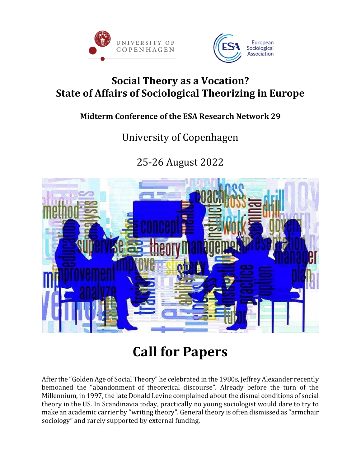



### **Social Theory as a Vocation? State of Affairs of Sociological Theorizing in Europe**

#### **Midterm Conference of the ESA Research Network 29**

## University of Copenhagen

25-26 August 2022



# **Call for Papers**

After the "Golden Age of Social Theory" he celebrated in the 1980s, Jeffrey Alexander recently bemoaned the "abandonment of theoretical discourse". Already before the turn of the Millennium, in 1997, the late Donald Levine complained about the dismal conditions of social theory in the US. In Scandinavia today, practically no young sociologist would dare to try to make an academic carrier by "writing theory". General theory is often dismissed as "armchair sociology" and rarely supported by external funding.